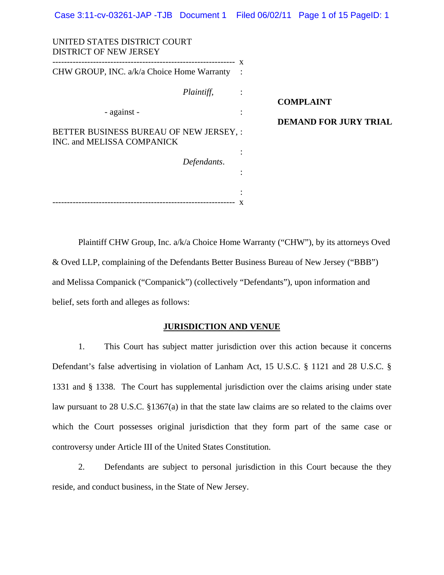| UNITED STATES DISTRICT COURT<br><b>DISTRICT OF NEW JERSEY</b>         |             |                |                              |
|-----------------------------------------------------------------------|-------------|----------------|------------------------------|
| CHW GROUP, INC. a/k/a Choice Home Warranty                            |             | $\mathbf{x}$   |                              |
|                                                                       | Plaintiff,  | $\ddot{\cdot}$ | <b>COMPLAINT</b>             |
| - against -                                                           |             | $\bullet$      | <b>DEMAND FOR JURY TRIAL</b> |
| BETTER BUSINESS BUREAU OF NEW JERSEY, :<br>INC. and MELISSA COMPANICK |             |                |                              |
|                                                                       | Defendants. |                |                              |
|                                                                       |             |                |                              |

Plaintiff CHW Group, Inc. a/k/a Choice Home Warranty ("CHW"), by its attorneys Oved & Oved LLP, complaining of the Defendants Better Business Bureau of New Jersey ("BBB") and Melissa Companick ("Companick") (collectively "Defendants"), upon information and belief, sets forth and alleges as follows:

--------------------------------------------------------------- x

# **JURISDICTION AND VENUE**

1. This Court has subject matter jurisdiction over this action because it concerns Defendant's false advertising in violation of Lanham Act, 15 U.S.C. § 1121 and 28 U.S.C. § 1331 and § 1338. The Court has supplemental jurisdiction over the claims arising under state law pursuant to 28 U.S.C. §1367(a) in that the state law claims are so related to the claims over which the Court possesses original jurisdiction that they form part of the same case or controversy under Article III of the United States Constitution.

2. Defendants are subject to personal jurisdiction in this Court because the they reside, and conduct business, in the State of New Jersey.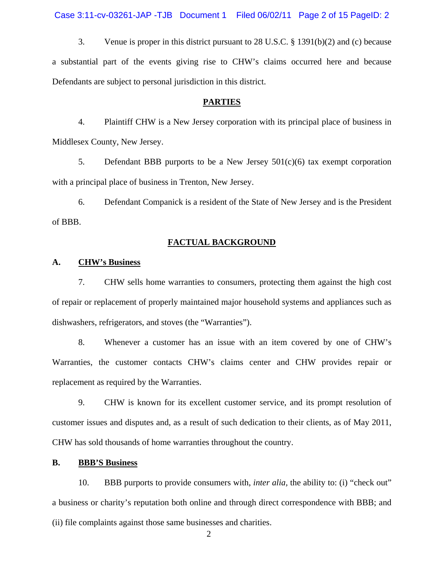Case 3:11-cv-03261-JAP -TJB Document 1 Filed 06/02/11 Page 2 of 15 PageID: 2

3. Venue is proper in this district pursuant to 28 U.S.C. § 1391(b)(2) and (c) because a substantial part of the events giving rise to CHW's claims occurred here and because Defendants are subject to personal jurisdiction in this district.

#### **PARTIES**

4. Plaintiff CHW is a New Jersey corporation with its principal place of business in Middlesex County, New Jersey.

5. Defendant BBB purports to be a New Jersey  $501(c)(6)$  tax exempt corporation with a principal place of business in Trenton, New Jersey.

6. Defendant Companick is a resident of the State of New Jersey and is the President of BBB.

#### **FACTUAL BACKGROUND**

#### **A. CHW's Business**

7. CHW sells home warranties to consumers, protecting them against the high cost of repair or replacement of properly maintained major household systems and appliances such as dishwashers, refrigerators, and stoves (the "Warranties").

8. Whenever a customer has an issue with an item covered by one of CHW's Warranties, the customer contacts CHW's claims center and CHW provides repair or replacement as required by the Warranties.

9. CHW is known for its excellent customer service, and its prompt resolution of customer issues and disputes and, as a result of such dedication to their clients, as of May 2011, CHW has sold thousands of home warranties throughout the country.

# **B. BBB'S Business**

10. BBB purports to provide consumers with, *inter alia,* the ability to: (i) "check out" a business or charity's reputation both online and through direct correspondence with BBB; and (ii) file complaints against those same businesses and charities.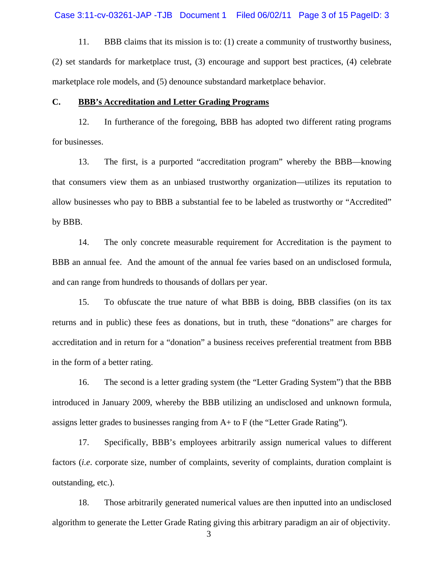11. BBB claims that its mission is to: (1) create a community of trustworthy business, (2) set standards for marketplace trust, (3) encourage and support best practices, (4) celebrate marketplace role models, and (5) denounce substandard marketplace behavior.

### **C. BBB's Accreditation and Letter Grading Programs**

12. In furtherance of the foregoing, BBB has adopted two different rating programs for businesses.

13. The first, is a purported "accreditation program" whereby the BBB—knowing that consumers view them as an unbiased trustworthy organization—utilizes its reputation to allow businesses who pay to BBB a substantial fee to be labeled as trustworthy or "Accredited" by BBB.

14. The only concrete measurable requirement for Accreditation is the payment to BBB an annual fee. And the amount of the annual fee varies based on an undisclosed formula, and can range from hundreds to thousands of dollars per year.

15. To obfuscate the true nature of what BBB is doing, BBB classifies (on its tax returns and in public) these fees as donations, but in truth, these "donations" are charges for accreditation and in return for a "donation" a business receives preferential treatment from BBB in the form of a better rating.

16. The second is a letter grading system (the "Letter Grading System") that the BBB introduced in January 2009, whereby the BBB utilizing an undisclosed and unknown formula, assigns letter grades to businesses ranging from A+ to F (the "Letter Grade Rating").

17. Specifically, BBB's employees arbitrarily assign numerical values to different factors (*i.e.* corporate size, number of complaints, severity of complaints, duration complaint is outstanding, etc.).

18. Those arbitrarily generated numerical values are then inputted into an undisclosed algorithm to generate the Letter Grade Rating giving this arbitrary paradigm an air of objectivity.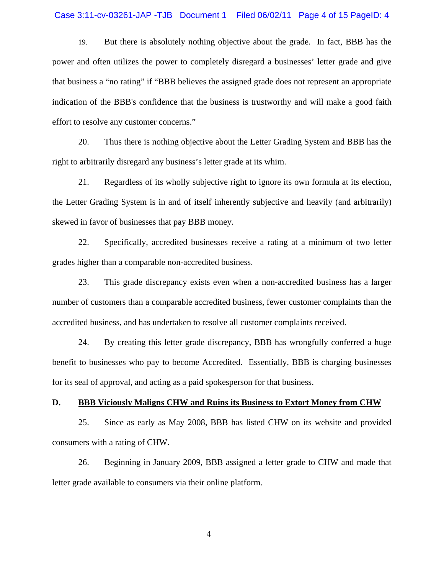### Case 3:11-cv-03261-JAP -TJB Document 1 Filed 06/02/11 Page 4 of 15 PageID: 4

19. But there is absolutely nothing objective about the grade. In fact, BBB has the power and often utilizes the power to completely disregard a businesses' letter grade and give that business a "no rating" if "BBB believes the assigned grade does not represent an appropriate indication of the BBB's confidence that the business is trustworthy and will make a good faith effort to resolve any customer concerns."

20. Thus there is nothing objective about the Letter Grading System and BBB has the right to arbitrarily disregard any business's letter grade at its whim.

21. Regardless of its wholly subjective right to ignore its own formula at its election, the Letter Grading System is in and of itself inherently subjective and heavily (and arbitrarily) skewed in favor of businesses that pay BBB money.

22. Specifically, accredited businesses receive a rating at a minimum of two letter grades higher than a comparable non-accredited business.

23. This grade discrepancy exists even when a non-accredited business has a larger number of customers than a comparable accredited business, fewer customer complaints than the accredited business, and has undertaken to resolve all customer complaints received.

24. By creating this letter grade discrepancy, BBB has wrongfully conferred a huge benefit to businesses who pay to become Accredited. Essentially, BBB is charging businesses for its seal of approval, and acting as a paid spokesperson for that business.

### **D. BBB Viciously Maligns CHW and Ruins its Business to Extort Money from CHW**

25. Since as early as May 2008, BBB has listed CHW on its website and provided consumers with a rating of CHW.

26. Beginning in January 2009, BBB assigned a letter grade to CHW and made that letter grade available to consumers via their online platform.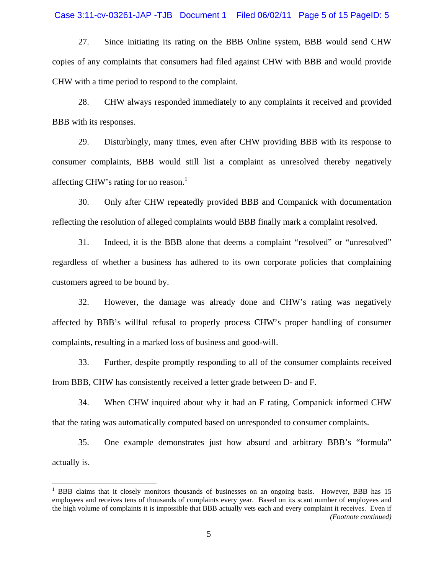### Case 3:11-cv-03261-JAP -TJB Document 1 Filed 06/02/11 Page 5 of 15 PageID: 5

27. Since initiating its rating on the BBB Online system, BBB would send CHW copies of any complaints that consumers had filed against CHW with BBB and would provide CHW with a time period to respond to the complaint.

28. CHW always responded immediately to any complaints it received and provided BBB with its responses.

29. Disturbingly, many times, even after CHW providing BBB with its response to consumer complaints, BBB would still list a complaint as unresolved thereby negatively affecting CHW's rating for no reason.<sup>1</sup>

30. Only after CHW repeatedly provided BBB and Companick with documentation reflecting the resolution of alleged complaints would BBB finally mark a complaint resolved.

31. Indeed, it is the BBB alone that deems a complaint "resolved" or "unresolved" regardless of whether a business has adhered to its own corporate policies that complaining customers agreed to be bound by.

32. However, the damage was already done and CHW's rating was negatively affected by BBB's willful refusal to properly process CHW's proper handling of consumer complaints, resulting in a marked loss of business and good-will.

33. Further, despite promptly responding to all of the consumer complaints received from BBB, CHW has consistently received a letter grade between D- and F.

34. When CHW inquired about why it had an F rating, Companick informed CHW that the rating was automatically computed based on unresponded to consumer complaints.

35. One example demonstrates just how absurd and arbitrary BBB's "formula" actually is.

 $\overline{a}$ 

<sup>&</sup>lt;sup>1</sup> BBB claims that it closely monitors thousands of businesses on an ongoing basis. However, BBB has 15 employees and receives tens of thousands of complaints every year. Based on its scant number of employees and the high volume of complaints it is impossible that BBB actually vets each and every complaint it receives. Even if *(Footnote continued)*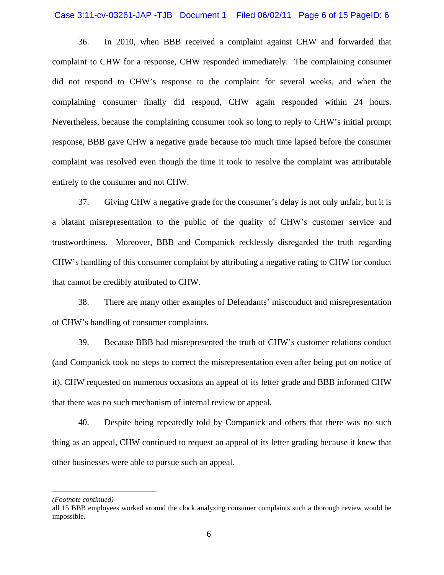### Case 3:11-cv-03261-JAP -TJB Document 1 Filed 06/02/11 Page 6 of 15 PageID: 6

36. In 2010, when BBB received a complaint against CHW and forwarded that complaint to CHW for a response, CHW responded immediately. The complaining consumer did not respond to CHW's response to the complaint for several weeks, and when the complaining consumer finally did respond, CHW again responded within 24 hours. Nevertheless, because the complaining consumer took so long to reply to CHW's initial prompt response, BBB gave CHW a negative grade because too much time lapsed before the consumer complaint was resolved even though the time it took to resolve the complaint was attributable entirely to the consumer and not CHW.

37. Giving CHW a negative grade for the consumer's delay is not only unfair, but it is a blatant misrepresentation to the public of the quality of CHW's customer service and trustworthiness. Moreover, BBB and Companick recklessly disregarded the truth regarding CHW's handling of this consumer complaint by attributing a negative rating to CHW for conduct that cannot be credibly attributed to CHW.

38. There are many other examples of Defendants' misconduct and misrepresentation of CHW's handling of consumer complaints.

39. Because BBB had misrepresented the truth of CHW's customer relations conduct (and Companick took no steps to correct the misrepresentation even after being put on notice of it), CHW requested on numerous occasions an appeal of its letter grade and BBB informed CHW that there was no such mechanism of internal review or appeal.

40. Despite being repeatedly told by Companick and others that there was no such thing as an appeal, CHW continued to request an appeal of its letter grading because it knew that other businesses were able to pursue such an appeal.

*<sup>(</sup>Footnote continued)* 

all 15 BBB employees worked around the clock analyzing consumer complaints such a thorough review would be impossible.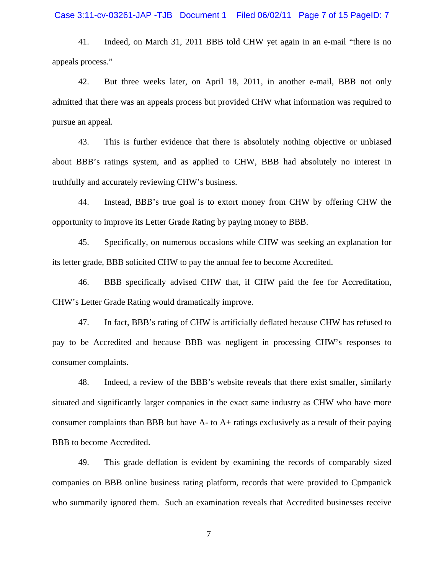### Case 3:11-cv-03261-JAP -TJB Document 1 Filed 06/02/11 Page 7 of 15 PageID: 7

41. Indeed, on March 31, 2011 BBB told CHW yet again in an e-mail "there is no appeals process."

42. But three weeks later, on April 18, 2011, in another e-mail, BBB not only admitted that there was an appeals process but provided CHW what information was required to pursue an appeal.

43. This is further evidence that there is absolutely nothing objective or unbiased about BBB's ratings system, and as applied to CHW, BBB had absolutely no interest in truthfully and accurately reviewing CHW's business.

44. Instead, BBB's true goal is to extort money from CHW by offering CHW the opportunity to improve its Letter Grade Rating by paying money to BBB.

45. Specifically, on numerous occasions while CHW was seeking an explanation for its letter grade, BBB solicited CHW to pay the annual fee to become Accredited.

46. BBB specifically advised CHW that, if CHW paid the fee for Accreditation, CHW's Letter Grade Rating would dramatically improve.

47. In fact, BBB's rating of CHW is artificially deflated because CHW has refused to pay to be Accredited and because BBB was negligent in processing CHW's responses to consumer complaints.

48. Indeed, a review of the BBB's website reveals that there exist smaller, similarly situated and significantly larger companies in the exact same industry as CHW who have more consumer complaints than BBB but have A- to A+ ratings exclusively as a result of their paying BBB to become Accredited.

49. This grade deflation is evident by examining the records of comparably sized companies on BBB online business rating platform, records that were provided to Cpmpanick who summarily ignored them. Such an examination reveals that Accredited businesses receive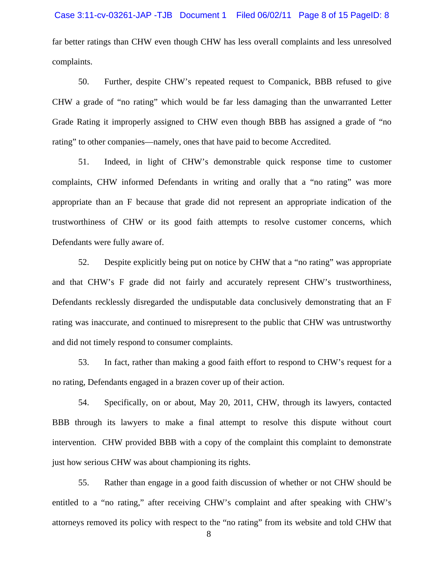far better ratings than CHW even though CHW has less overall complaints and less unresolved complaints.

50. Further, despite CHW's repeated request to Companick, BBB refused to give CHW a grade of "no rating" which would be far less damaging than the unwarranted Letter Grade Rating it improperly assigned to CHW even though BBB has assigned a grade of "no rating" to other companies—namely, ones that have paid to become Accredited.

51. Indeed, in light of CHW's demonstrable quick response time to customer complaints, CHW informed Defendants in writing and orally that a "no rating" was more appropriate than an F because that grade did not represent an appropriate indication of the trustworthiness of CHW or its good faith attempts to resolve customer concerns, which Defendants were fully aware of.

52. Despite explicitly being put on notice by CHW that a "no rating" was appropriate and that CHW's F grade did not fairly and accurately represent CHW's trustworthiness, Defendants recklessly disregarded the undisputable data conclusively demonstrating that an F rating was inaccurate, and continued to misrepresent to the public that CHW was untrustworthy and did not timely respond to consumer complaints.

53. In fact, rather than making a good faith effort to respond to CHW's request for a no rating, Defendants engaged in a brazen cover up of their action.

54. Specifically, on or about, May 20, 2011, CHW, through its lawyers, contacted BBB through its lawyers to make a final attempt to resolve this dispute without court intervention. CHW provided BBB with a copy of the complaint this complaint to demonstrate just how serious CHW was about championing its rights.

55. Rather than engage in a good faith discussion of whether or not CHW should be entitled to a "no rating," after receiving CHW's complaint and after speaking with CHW's attorneys removed its policy with respect to the "no rating" from its website and told CHW that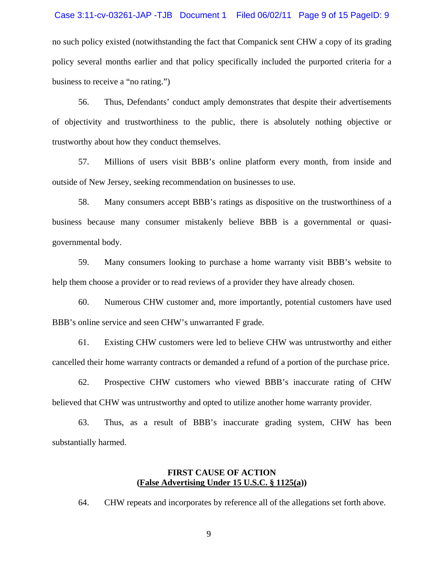## Case 3:11-cv-03261-JAP -TJB Document 1 Filed 06/02/11 Page 9 of 15 PageID: 9

no such policy existed (notwithstanding the fact that Companick sent CHW a copy of its grading policy several months earlier and that policy specifically included the purported criteria for a business to receive a "no rating.")

56. Thus, Defendants' conduct amply demonstrates that despite their advertisements of objectivity and trustworthiness to the public, there is absolutely nothing objective or trustworthy about how they conduct themselves.

57. Millions of users visit BBB's online platform every month, from inside and outside of New Jersey, seeking recommendation on businesses to use.

58. Many consumers accept BBB's ratings as dispositive on the trustworthiness of a business because many consumer mistakenly believe BBB is a governmental or quasigovernmental body.

59. Many consumers looking to purchase a home warranty visit BBB's website to help them choose a provider or to read reviews of a provider they have already chosen.

60. Numerous CHW customer and, more importantly, potential customers have used BBB's online service and seen CHW's unwarranted F grade.

61. Existing CHW customers were led to believe CHW was untrustworthy and either cancelled their home warranty contracts or demanded a refund of a portion of the purchase price.

62. Prospective CHW customers who viewed BBB's inaccurate rating of CHW believed that CHW was untrustworthy and opted to utilize another home warranty provider.

63. Thus, as a result of BBB's inaccurate grading system, CHW has been substantially harmed.

# **FIRST CAUSE OF ACTION (False Advertising Under 15 U.S.C. § 1125(a))**

64. CHW repeats and incorporates by reference all of the allegations set forth above.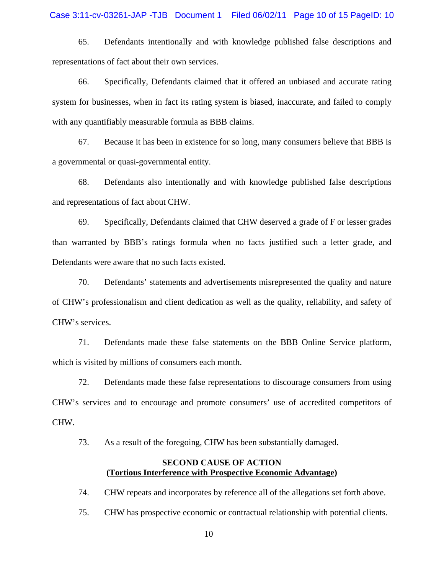65. Defendants intentionally and with knowledge published false descriptions and representations of fact about their own services.

66. Specifically, Defendants claimed that it offered an unbiased and accurate rating system for businesses, when in fact its rating system is biased, inaccurate, and failed to comply with any quantifiably measurable formula as BBB claims.

67. Because it has been in existence for so long, many consumers believe that BBB is a governmental or quasi-governmental entity.

68. Defendants also intentionally and with knowledge published false descriptions and representations of fact about CHW.

69. Specifically, Defendants claimed that CHW deserved a grade of F or lesser grades than warranted by BBB's ratings formula when no facts justified such a letter grade, and Defendants were aware that no such facts existed.

70. Defendants' statements and advertisements misrepresented the quality and nature of CHW's professionalism and client dedication as well as the quality, reliability, and safety of CHW's services.

71. Defendants made these false statements on the BBB Online Service platform, which is visited by millions of consumers each month.

72. Defendants made these false representations to discourage consumers from using CHW's services and to encourage and promote consumers' use of accredited competitors of CHW.

73. As a result of the foregoing, CHW has been substantially damaged.

# **SECOND CAUSE OF ACTION (Tortious Interference with Prospective Economic Advantage)**

74. CHW repeats and incorporates by reference all of the allegations set forth above.

75. CHW has prospective economic or contractual relationship with potential clients.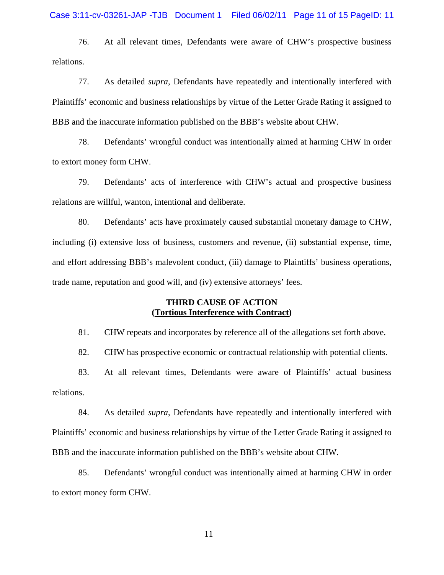76. At all relevant times, Defendants were aware of CHW's prospective business relations.

77. As detailed *supra*, Defendants have repeatedly and intentionally interfered with Plaintiffs' economic and business relationships by virtue of the Letter Grade Rating it assigned to BBB and the inaccurate information published on the BBB's website about CHW.

78. Defendants' wrongful conduct was intentionally aimed at harming CHW in order to extort money form CHW.

79. Defendants' acts of interference with CHW's actual and prospective business relations are willful, wanton, intentional and deliberate.

80. Defendants' acts have proximately caused substantial monetary damage to CHW, including (i) extensive loss of business, customers and revenue, (ii) substantial expense, time, and effort addressing BBB's malevolent conduct, (iii) damage to Plaintiffs' business operations, trade name, reputation and good will, and (iv) extensive attorneys' fees.

# **THIRD CAUSE OF ACTION (Tortious Interference with Contract)**

81. CHW repeats and incorporates by reference all of the allegations set forth above.

82. CHW has prospective economic or contractual relationship with potential clients.

83. At all relevant times, Defendants were aware of Plaintiffs' actual business relations.

84. As detailed *supra*, Defendants have repeatedly and intentionally interfered with Plaintiffs' economic and business relationships by virtue of the Letter Grade Rating it assigned to BBB and the inaccurate information published on the BBB's website about CHW.

85. Defendants' wrongful conduct was intentionally aimed at harming CHW in order to extort money form CHW.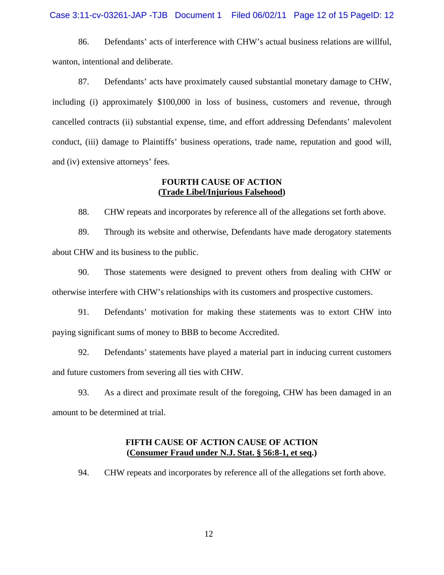86. Defendants' acts of interference with CHW's actual business relations are willful, wanton, intentional and deliberate.

87. Defendants' acts have proximately caused substantial monetary damage to CHW, including (i) approximately \$100,000 in loss of business, customers and revenue, through cancelled contracts (ii) substantial expense, time, and effort addressing Defendants' malevolent conduct, (iii) damage to Plaintiffs' business operations, trade name, reputation and good will, and (iv) extensive attorneys' fees.

# **FOURTH CAUSE OF ACTION (Trade Libel/Injurious Falsehood)**

88. CHW repeats and incorporates by reference all of the allegations set forth above.

89. Through its website and otherwise, Defendants have made derogatory statements about CHW and its business to the public.

90. Those statements were designed to prevent others from dealing with CHW or otherwise interfere with CHW's relationships with its customers and prospective customers.

91. Defendants' motivation for making these statements was to extort CHW into paying significant sums of money to BBB to become Accredited.

92. Defendants' statements have played a material part in inducing current customers and future customers from severing all ties with CHW.

93. As a direct and proximate result of the foregoing, CHW has been damaged in an amount to be determined at trial.

# **FIFTH CAUSE OF ACTION CAUSE OF ACTION (Consumer Fraud under N.J. Stat. § 56:8-1, et seq.)**

94. CHW repeats and incorporates by reference all of the allegations set forth above.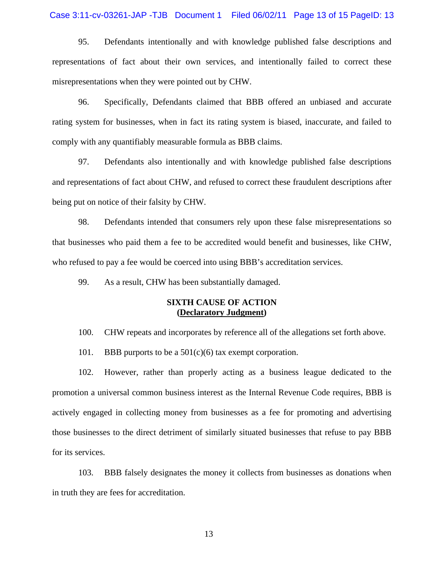### Case 3:11-cv-03261-JAP -TJB Document 1 Filed 06/02/11 Page 13 of 15 PageID: 13

95. Defendants intentionally and with knowledge published false descriptions and representations of fact about their own services, and intentionally failed to correct these misrepresentations when they were pointed out by CHW.

96. Specifically, Defendants claimed that BBB offered an unbiased and accurate rating system for businesses, when in fact its rating system is biased, inaccurate, and failed to comply with any quantifiably measurable formula as BBB claims.

97. Defendants also intentionally and with knowledge published false descriptions and representations of fact about CHW, and refused to correct these fraudulent descriptions after being put on notice of their falsity by CHW.

98. Defendants intended that consumers rely upon these false misrepresentations so that businesses who paid them a fee to be accredited would benefit and businesses, like CHW, who refused to pay a fee would be coerced into using BBB's accreditation services.

99. As a result, CHW has been substantially damaged.

# **SIXTH CAUSE OF ACTION (Declaratory Judgment)**

100. CHW repeats and incorporates by reference all of the allegations set forth above.

101. BBB purports to be a  $501(c)(6)$  tax exempt corporation.

102. However, rather than properly acting as a business league dedicated to the promotion a universal common business interest as the Internal Revenue Code requires, BBB is actively engaged in collecting money from businesses as a fee for promoting and advertising those businesses to the direct detriment of similarly situated businesses that refuse to pay BBB for its services.

103. BBB falsely designates the money it collects from businesses as donations when in truth they are fees for accreditation.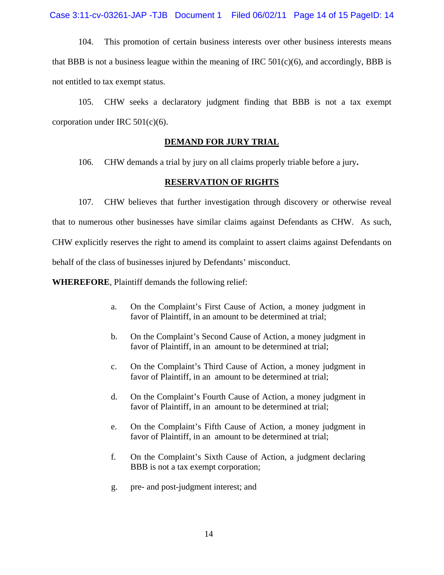Case 3:11-cv-03261-JAP -TJB Document 1 Filed 06/02/11 Page 14 of 15 PageID: 14

104. This promotion of certain business interests over other business interests means that BBB is not a business league within the meaning of IRC  $501(c)(6)$ , and accordingly, BBB is not entitled to tax exempt status.

105. CHW seeks a declaratory judgment finding that BBB is not a tax exempt corporation under IRC 501(c)(6).

# **DEMAND FOR JURY TRIAL**

106. CHW demands a trial by jury on all claims properly triable before a jury**.** 

# **RESERVATION OF RIGHTS**

107. CHW believes that further investigation through discovery or otherwise reveal that to numerous other businesses have similar claims against Defendants as CHW. As such, CHW explicitly reserves the right to amend its complaint to assert claims against Defendants on behalf of the class of businesses injured by Defendants' misconduct.

**WHEREFORE**, Plaintiff demands the following relief:

- a. On the Complaint's First Cause of Action, a money judgment in favor of Plaintiff, in an amount to be determined at trial;
- b. On the Complaint's Second Cause of Action, a money judgment in favor of Plaintiff, in an amount to be determined at trial;
- c. On the Complaint's Third Cause of Action, a money judgment in favor of Plaintiff, in an amount to be determined at trial;
- d. On the Complaint's Fourth Cause of Action, a money judgment in favor of Plaintiff, in an amount to be determined at trial;
- e. On the Complaint's Fifth Cause of Action, a money judgment in favor of Plaintiff, in an amount to be determined at trial:
- f. On the Complaint's Sixth Cause of Action, a judgment declaring BBB is not a tax exempt corporation;
- g. pre- and post-judgment interest; and